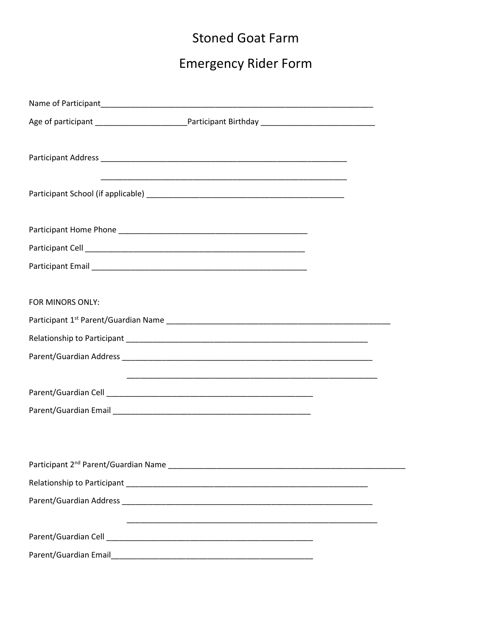## **Stoned Goat Farm**

## **Emergency Rider Form**

|                  | <u> 1989 - Johann John Stone, menydd y gweledd y gan y gan y gan y gan y gan y gan y gan y gan y gan y gan y gan</u> |  |
|------------------|----------------------------------------------------------------------------------------------------------------------|--|
|                  |                                                                                                                      |  |
|                  |                                                                                                                      |  |
|                  |                                                                                                                      |  |
| FOR MINORS ONLY: |                                                                                                                      |  |
|                  |                                                                                                                      |  |
|                  |                                                                                                                      |  |
|                  |                                                                                                                      |  |
|                  |                                                                                                                      |  |
|                  |                                                                                                                      |  |
|                  |                                                                                                                      |  |
|                  |                                                                                                                      |  |
|                  |                                                                                                                      |  |
|                  |                                                                                                                      |  |
|                  |                                                                                                                      |  |
|                  |                                                                                                                      |  |